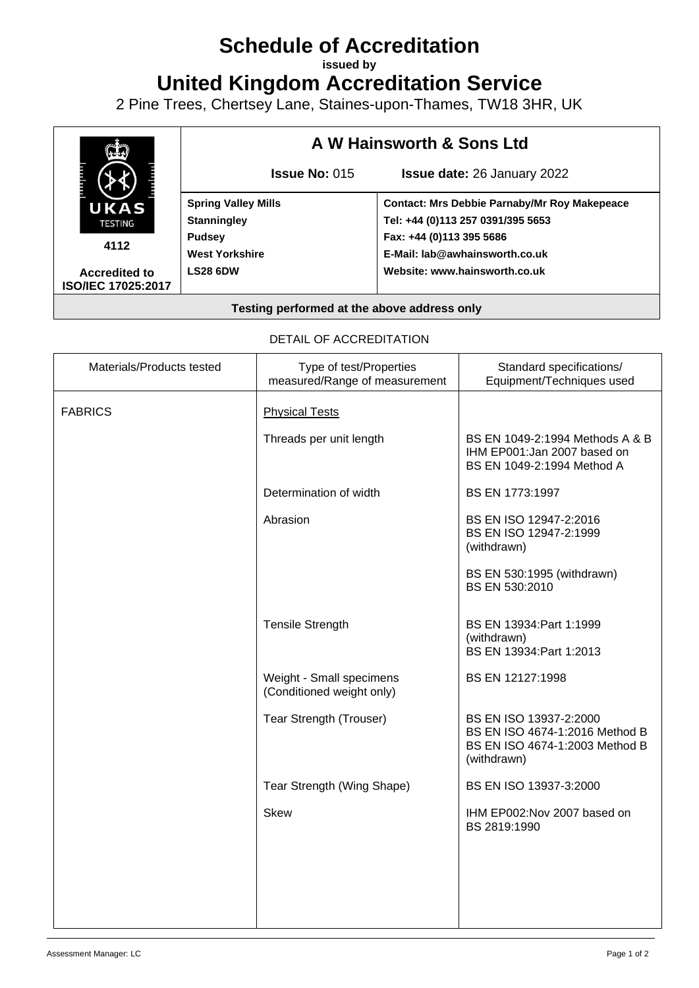# **Schedule of Accreditation**

**issued by**

**United Kingdom Accreditation Service**

2 Pine Trees, Chertsey Lane, Staines-upon-Thames, TW18 3HR, UK



### DETAIL OF ACCREDITATION

| Materials/Products tested | Type of test/Properties<br>measured/Range of measurement | Standard specifications/<br>Equipment/Techniques used                                                     |
|---------------------------|----------------------------------------------------------|-----------------------------------------------------------------------------------------------------------|
| <b>FABRICS</b>            | <b>Physical Tests</b>                                    |                                                                                                           |
|                           | Threads per unit length                                  | BS EN 1049-2:1994 Methods A & B<br>IHM EP001:Jan 2007 based on<br>BS EN 1049-2:1994 Method A              |
|                           | Determination of width                                   | BS EN 1773:1997                                                                                           |
|                           | Abrasion                                                 | BS EN ISO 12947-2:2016<br>BS EN ISO 12947-2:1999<br>(withdrawn)                                           |
|                           |                                                          | BS EN 530:1995 (withdrawn)<br>BS EN 530:2010                                                              |
|                           | <b>Tensile Strength</b>                                  | BS EN 13934: Part 1:1999<br>(withdrawn)<br>BS EN 13934: Part 1:2013                                       |
|                           | Weight - Small specimens<br>(Conditioned weight only)    | BS EN 12127:1998                                                                                          |
|                           | <b>Tear Strength (Trouser)</b>                           | BS EN ISO 13937-2:2000<br>BS EN ISO 4674-1:2016 Method B<br>BS EN ISO 4674-1:2003 Method B<br>(withdrawn) |
|                           | Tear Strength (Wing Shape)                               | BS EN ISO 13937-3:2000                                                                                    |
|                           | <b>Skew</b>                                              | IHM EP002:Nov 2007 based on<br>BS 2819:1990                                                               |
|                           |                                                          |                                                                                                           |
|                           |                                                          |                                                                                                           |
|                           |                                                          |                                                                                                           |